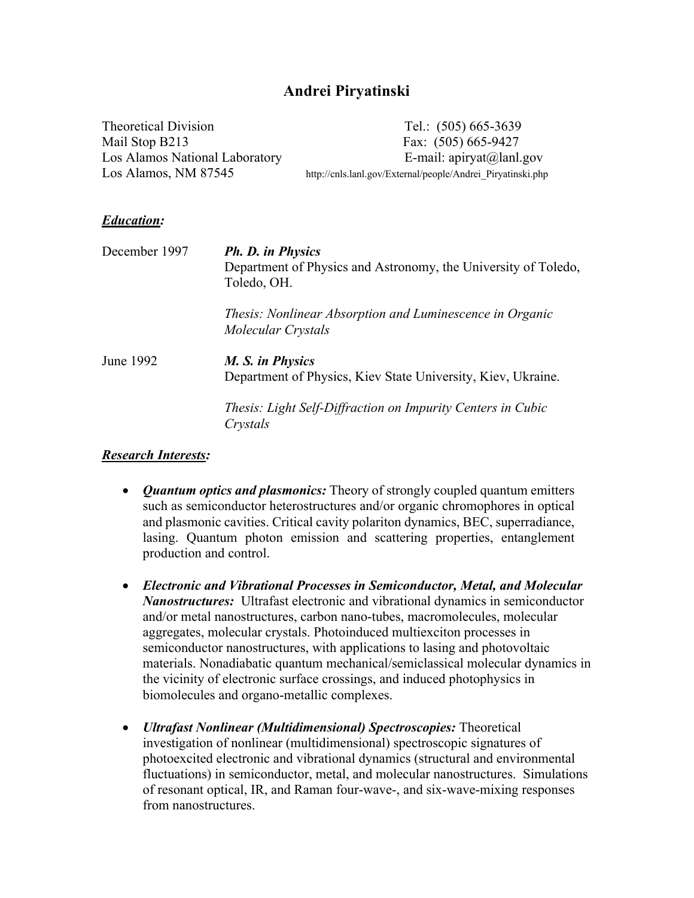## **Andrei Piryatinski**

| Theoretical Division           | Tel.: $(505)$ 665-3639                                      |
|--------------------------------|-------------------------------------------------------------|
| Mail Stop B213                 | Fax: $(505)$ 665-9427                                       |
| Los Alamos National Laboratory | E-mail: $api(a)$ lanl.gov                                   |
| Los Alamos, NM 87545           | http://cnls.lanl.gov/External/people/Andrei Piryatinski.php |

#### *Education:*

| December 1997 | Ph. D. in Physics<br>Department of Physics and Astronomy, the University of Toledo,<br>Toledo, OH. |
|---------------|----------------------------------------------------------------------------------------------------|
|               | Thesis: Nonlinear Absorption and Luminescence in Organic<br>Molecular Crystals                     |
| June 1992     | M. S. in Physics<br>Department of Physics, Kiev State University, Kiev, Ukraine.                   |
|               | Thesis: Light Self-Diffraction on Impurity Centers in Cubic<br>Crystals                            |

#### *Research Interests:*

- *Quantum optics and plasmonics:* Theory of strongly coupled quantum emitters such as semiconductor heterostructures and/or organic chromophores in optical and plasmonic cavities. Critical cavity polariton dynamics, BEC, superradiance, lasing. Quantum photon emission and scattering properties, entanglement production and control.
- *Electronic and Vibrational Processes in Semiconductor, Metal, and Molecular Nanostructures:* Ultrafast electronic and vibrational dynamics in semiconductor and/or metal nanostructures, carbon nano-tubes, macromolecules, molecular aggregates, molecular crystals. Photoinduced multiexciton processes in semiconductor nanostructures, with applications to lasing and photovoltaic materials. Nonadiabatic quantum mechanical/semiclassical molecular dynamics in the vicinity of electronic surface crossings, and induced photophysics in biomolecules and organo-metallic complexes.
- *Ultrafast Nonlinear (Multidimensional) Spectroscopies:* Theoretical investigation of nonlinear (multidimensional) spectroscopic signatures of photoexcited electronic and vibrational dynamics (structural and environmental fluctuations) in semiconductor, metal, and molecular nanostructures. Simulations of resonant optical, IR, and Raman four-wave-, and six-wave-mixing responses from nanostructures.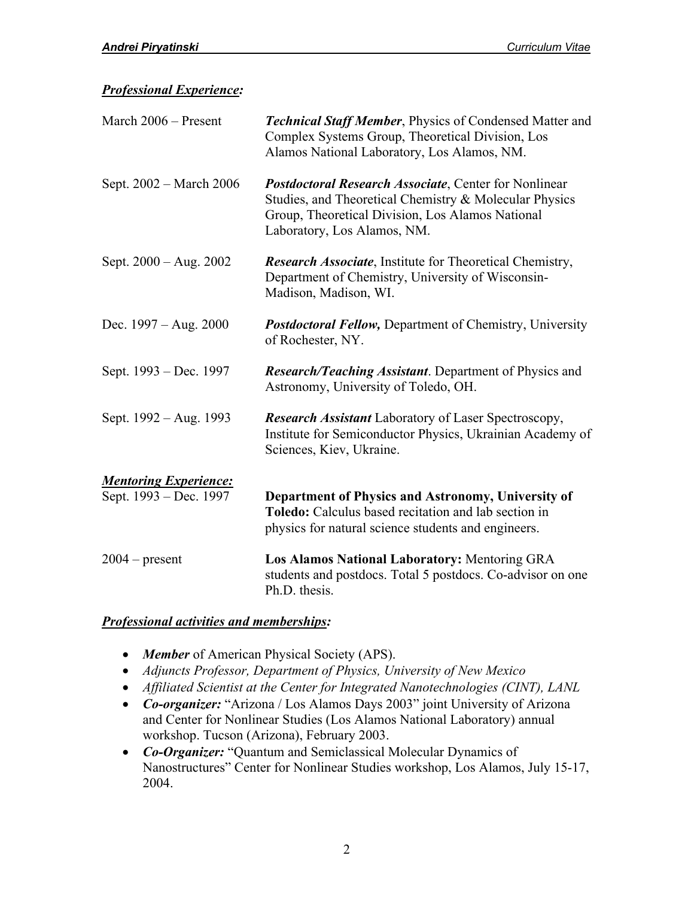### *Professional Experience:*

| March 2006 - Present         | <b>Technical Staff Member, Physics of Condensed Matter and</b><br>Complex Systems Group, Theoretical Division, Los<br>Alamos National Laboratory, Los Alamos, NM.                                         |
|------------------------------|-----------------------------------------------------------------------------------------------------------------------------------------------------------------------------------------------------------|
| Sept. 2002 - March 2006      | <b>Postdoctoral Research Associate, Center for Nonlinear</b><br>Studies, and Theoretical Chemistry & Molecular Physics<br>Group, Theoretical Division, Los Alamos National<br>Laboratory, Los Alamos, NM. |
| Sept. $2000 - Aug. 2002$     | <b>Research Associate</b> , Institute for Theoretical Chemistry,<br>Department of Chemistry, University of Wisconsin-<br>Madison, Madison, WI.                                                            |
| Dec. $1997 - Aug. 2000$      | <b>Postdoctoral Fellow, Department of Chemistry, University</b><br>of Rochester, NY.                                                                                                                      |
| Sept. 1993 – Dec. 1997       | <b>Research/Teaching Assistant.</b> Department of Physics and<br>Astronomy, University of Toledo, OH.                                                                                                     |
| Sept. 1992 – Aug. 1993       | <b>Research Assistant Laboratory of Laser Spectroscopy,</b><br>Institute for Semiconductor Physics, Ukrainian Academy of<br>Sciences, Kiev, Ukraine.                                                      |
| <b>Mentoring Experience:</b> |                                                                                                                                                                                                           |
| Sept. 1993 – Dec. 1997       | Department of Physics and Astronomy, University of<br><b>Toledo:</b> Calculus based recitation and lab section in<br>physics for natural science students and engineers.                                  |
| $2004$ – present             | Los Alamos National Laboratory: Mentoring GRA<br>students and postdocs. Total 5 postdocs. Co-advisor on one<br>Ph.D. thesis.                                                                              |

### *Professional activities and memberships:*

- *Member* of American Physical Society (APS).
- *Adjuncts Professor, Department of Physics, University of New Mexico*
- *Affiliated Scientist at the Center for Integrated Nanotechnologies (CINT), LANL*
- *Co-organizer:* "Arizona / Los Alamos Days 2003" joint University of Arizona and Center for Nonlinear Studies (Los Alamos National Laboratory) annual workshop. Tucson (Arizona), February 2003.
- *Co-Organizer:* "Quantum and Semiclassical Molecular Dynamics of Nanostructures" Center for Nonlinear Studies workshop, Los Alamos, July 15-17, 2004.